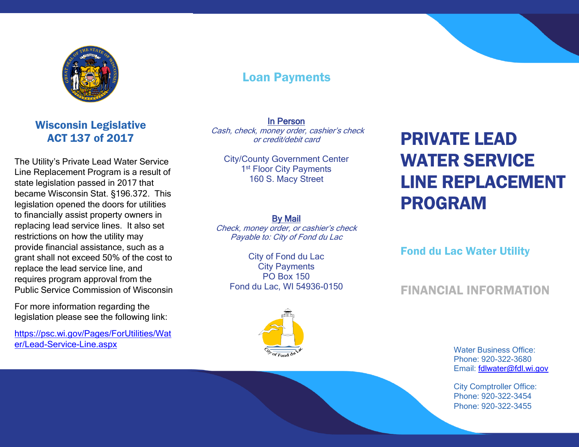

# Loan Payments

In Person Cash, check, money order, cashier's check or credit/debit card

City/County Government Center 1<sup>st</sup> Floor City Payments 160 S. Macy Street

#### By Mail

Check, money order, or cashier's check Payable to: City of Fond du Lac

City of Fond du Lac City Payments PO Box 150 Fond du Lac, WI 54936-0150

# PRIVATE LEAD WATER SERVICE LINE REPLACEMENT PROGRAM

Fond du Lac Water Utility

## FINANCIAL INFORMATION

Water Business Office: Phone: 920-322-3680 Email: [fdlwater@fdl.wi.gov](mailto:fdlwater@fdl.wi.gov)

City Comptroller Office: Phone: 920-322-3454 Phone: 920-322-3455

### Wisconsin Legislative ACT 137 of 2017

The Utility's Private Lead Water Service Line Replacement Program is a result of state legislation passed in 2017 that became Wisconsin Stat. §196.372. This legislation opened the doors for utilities to financially assist property owners in replacing lead service lines. It also set restrictions on how the utility may provide financial assistance, such as a grant shall not exceed 50% of the cost to replace the lead service line, and requires program approval from the Public Service Commission of Wisconsin

For more information regarding the legislation please see the following link:

[https://psc.wi.gov/Pages/ForUtilities/Wat](https://psc.wi.gov/Pages/ForUtilities/Water/Lead-Service-Line.aspx) [er/Lead-Service-Line.aspx](https://psc.wi.gov/Pages/ForUtilities/Water/Lead-Service-Line.aspx)